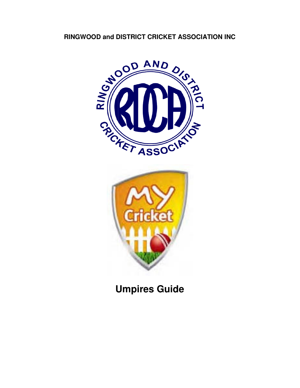



**Umpires Guide**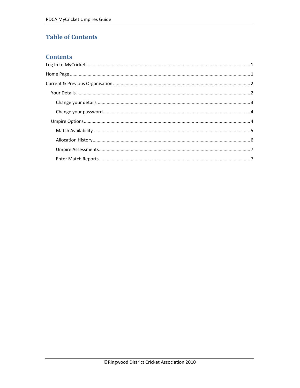# **Table of Contents**

### **Contents**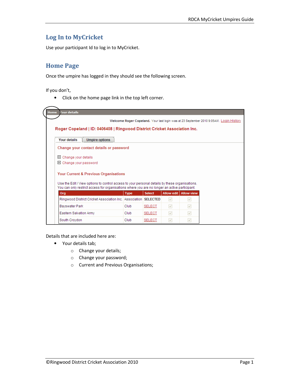## Log In to MyCricket

Use your participant Id to log in to MyCricket.

## Home Page

Once the umpire has logged in they should see the following screen.

If you don't,

• Click on the home page link in the top left corner.



Details that are included here are:

- Your details tab;
	- o Change your details;
	- o Change your password;
	- o Current and Previous Organisations;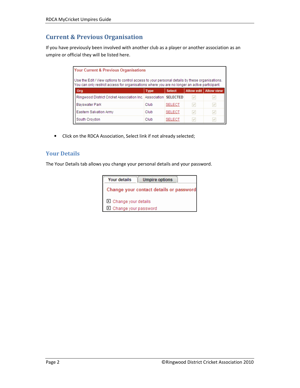# Current & Previous Organisation

If you have previously been involved with another club as a player or another association as an umpire or official they will be listed here.

| <b>Your Current &amp; Previous Organisations</b>                                                                                                                                                |             |               |                   |                   |
|-------------------------------------------------------------------------------------------------------------------------------------------------------------------------------------------------|-------------|---------------|-------------------|-------------------|
| Use the Edit / View options to control access to your personal details by these organisations.<br>You can only restrict access for organisations where you are no longer an active participant. |             |               |                   |                   |
| Org                                                                                                                                                                                             | <b>Type</b> | <b>Select</b> | <b>Allow edit</b> | <b>Allow view</b> |
| Ringwood District Cricket Association Inc. Association   SELECTED                                                                                                                               |             |               |                   |                   |
| <b>Bayswater Park</b>                                                                                                                                                                           | Club        | <b>SELECT</b> | v                 | V                 |
| Eastern Salvation Army                                                                                                                                                                          | Club        | <b>SELECT</b> | v                 | M                 |
| South Crovdon                                                                                                                                                                                   | Club        | SELECT        |                   | v                 |

• Click on the RDCA Association, Select link if not already selected;

### Your Details

The Your Details tab allows you change your personal details and your password.

| <b>Your details</b><br><b>Umpire options</b> |
|----------------------------------------------|
| Change your contact details or password      |
| □ Change your details                        |
| D Change your password                       |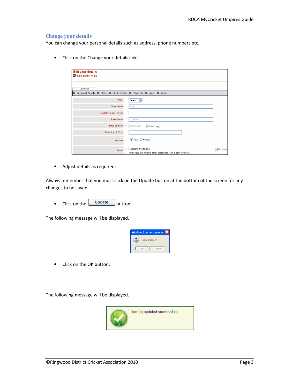#### Change your details

You can change your personal details such as address, phone numbers etc.

• Click on the Change your details link;

| <b>Edit your details</b><br>2 Help on this topic                                                            |                                                               |
|-------------------------------------------------------------------------------------------------------------|---------------------------------------------------------------|
| General                                                                                                     |                                                               |
| Personal Details <b>D</b> Roles <b>D</b> Custom Fields <b>D</b> Payments <b>D</b> Audit <b>D</b> Admin<br>п |                                                               |
| Title                                                                                                       | Select V                                                      |
| First Name *                                                                                                | Roger                                                         |
| Middle Name / Initial                                                                                       |                                                               |
| Last Name *                                                                                                 | Copeland                                                      |
| Date of Birth *                                                                                             | 29/09/1968<br>(dd/mm/yyyy)                                    |
| <b>Country of Birth</b>                                                                                     |                                                               |
| Gender <sup>*</sup>                                                                                         | ⊙ Male O Female                                               |
| Email $*$                                                                                                   | copeland@rdca.com<br>No email                                 |
|                                                                                                             | Note: separate multiple email addresses with a semi-colon (;) |

• Adjust details as required;

Always remember that you must click on the Update button at the bottom of the screen for any changes to be saved.

• Click on the  $\begin{bmatrix} \text{Update} \\ \text{button}; \end{bmatrix}$ 

The following message will be displayed.



• Click on the OK button;

The following message will be displayed.

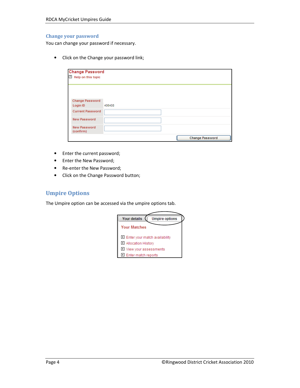#### Change your password

You can change your password if necessary.

• Click on the Change your password link;

| <b>Change Password</b><br>2 Help on this topic |        |                        |
|------------------------------------------------|--------|------------------------|
|                                                |        |                        |
| <b>Change Password</b><br>Login ID             | 406408 |                        |
| <b>Current Password</b>                        |        |                        |
| <b>New Password</b>                            |        |                        |
| <b>New Password</b><br>(confirm)               |        |                        |
|                                                |        | <b>Change Password</b> |

- Enter the current password;
- Enter the New Password;
- Re-enter the New Password;
- Click on the Change Password button;

### Umpire Options

The Umpire option can be accessed via the umpire options tab.

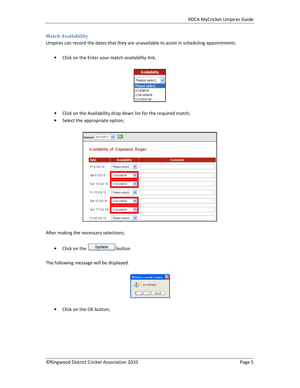#### Match Availability

Umpires can record the dates that they are unavailable to assist in scheduling appointments.

• Click on the Enter your match availability link;



- Click on the Availability drop down list for the required match;
- Select the appropriate option;

| Season 2010/2011 | Go                               |                |
|------------------|----------------------------------|----------------|
|                  | Availability of: Copeland, Roger |                |
|                  |                                  |                |
| <b>Date</b>      | <b>Availability</b>              | <b>Comment</b> |
| Fri 8 Oct 10     | Please select V                  |                |
| Sat 9 Oct 10     | v<br>Unavailable                 |                |
| Sun 10 Oct 10    | Unavailable<br>×                 |                |
| Fri 15 Oct 10    | Please select V                  |                |
| Sat 16 Oct 10    | Unavailable<br>v                 |                |
| Sun 17 Oct 10    | Unavailable<br>×                 |                |
| Fri 22 Oct 10    | Please select V                  |                |

After making the necessary selections;

• Click on the  $\Box$  Update button

The following message will be displayed.



• Click on the OK button;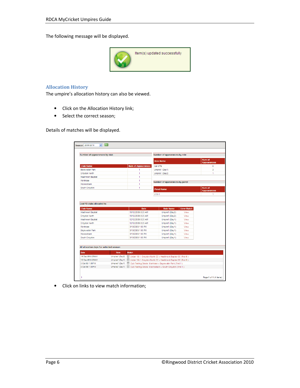The following message will be displayed.



#### Allocation History

The umpire's allocation history can also be viewed.

- Click on the Allocation History link;
- Select the correct season;

Details of matches will be displayed.

| <b>Club Name</b><br><b>Bayswater Park</b><br>Croydon North                                                                            | <b>Num of Appearances</b><br>$\blacksquare$<br>1<br>1<br>1<br>1<br>1<br><b>Date</b>                   | <b>Role Name</b><br>Call offs<br>Umpire1 (Day1)<br>Umpire1 (Day2)<br>Number of appearances by panel<br><b>Panel Name</b><br>U18-1                    |              | Num of<br><b>Appearances</b><br>$\bullet$<br>3<br>1<br><b>Num of</b><br><b>Appearances</b><br>$\ddot{\phantom{0}}$ |
|---------------------------------------------------------------------------------------------------------------------------------------|-------------------------------------------------------------------------------------------------------|------------------------------------------------------------------------------------------------------------------------------------------------------|--------------|--------------------------------------------------------------------------------------------------------------------|
|                                                                                                                                       |                                                                                                       |                                                                                                                                                      |              |                                                                                                                    |
|                                                                                                                                       |                                                                                                       |                                                                                                                                                      |              |                                                                                                                    |
|                                                                                                                                       |                                                                                                       |                                                                                                                                                      |              |                                                                                                                    |
| <b>Heathmont Baptist</b><br>Montrose<br>Mooroolbark<br>South Croydon<br><b>Club Name</b><br><b>Heathmont Baptist</b><br>Croydon North |                                                                                                       |                                                                                                                                                      |              |                                                                                                                    |
|                                                                                                                                       |                                                                                                       |                                                                                                                                                      |              |                                                                                                                    |
| Last 10 clubs allocated to                                                                                                            |                                                                                                       |                                                                                                                                                      |              |                                                                                                                    |
|                                                                                                                                       |                                                                                                       |                                                                                                                                                      |              |                                                                                                                    |
|                                                                                                                                       |                                                                                                       |                                                                                                                                                      |              |                                                                                                                    |
|                                                                                                                                       |                                                                                                       |                                                                                                                                                      |              |                                                                                                                    |
|                                                                                                                                       |                                                                                                       |                                                                                                                                                      |              |                                                                                                                    |
|                                                                                                                                       | 19/12/2009 8:25 AM                                                                                    | Umpire1 (Day2)                                                                                                                                       | View         |                                                                                                                    |
|                                                                                                                                       | 19/12/2009 8:25 AM                                                                                    | Umpire1 (Day2)                                                                                                                                       | View         |                                                                                                                    |
|                                                                                                                                       |                                                                                                       |                                                                                                                                                      |              |                                                                                                                    |
| <b>Heathmont Baptist</b>                                                                                                              | 12/12/2009 8:25 AM                                                                                    | Umpire1 (Day1)                                                                                                                                       | View         |                                                                                                                    |
| Croydon North<br>Montrose                                                                                                             | 12/12/2009 8:25 AM<br>3/10/2009 1:00 PM                                                               | Umpire1 (Day1)                                                                                                                                       | View<br>View |                                                                                                                    |
| Bayswater Park                                                                                                                        | 3/10/2009 1:00 PM                                                                                     | Umpire1 (Day1)                                                                                                                                       | View         |                                                                                                                    |
| Mooroolbark                                                                                                                           | 3/10/2009 1:00 PM                                                                                     | Umpire1 (Day1)<br>Umpire1 (Day1)                                                                                                                     | View         |                                                                                                                    |
| South Croydon                                                                                                                         | 3/10/2009 1:00 PM                                                                                     | Umpire1 (Day1)                                                                                                                                       | View         |                                                                                                                    |
|                                                                                                                                       |                                                                                                       |                                                                                                                                                      |              |                                                                                                                    |
|                                                                                                                                       |                                                                                                       |                                                                                                                                                      |              |                                                                                                                    |
|                                                                                                                                       |                                                                                                       |                                                                                                                                                      |              |                                                                                                                    |
|                                                                                                                                       |                                                                                                       |                                                                                                                                                      |              |                                                                                                                    |
|                                                                                                                                       |                                                                                                       |                                                                                                                                                      |              |                                                                                                                    |
|                                                                                                                                       |                                                                                                       |                                                                                                                                                      |              |                                                                                                                    |
|                                                                                                                                       |                                                                                                       | Umpire1 (Day1) I Under 18-1: Croydon North CC v Heathmont Baptist CC (Rnd 6)                                                                         |              |                                                                                                                    |
| 12 Dec 09 8:25AM<br>3 Oct 09 1:00 PM                                                                                                  |                                                                                                       | Umpire1 (Day1) [2] Club Testing Grade: Montrose v Bayswater Park (Rnd 1)<br>Umpire1 (Day1) E Club Testing Grade: Mooroolbark v South Croydon (Rnd 1) |              |                                                                                                                    |
| All allocation days for selected season<br><b>Date</b><br>19 Dec 09 8:25AM                                                            | Role<br><b>Match</b><br>Umpire1 (Day2) El Under 18-1: Croydon North CC v Heathmont Baptist CC (Rnd 6) |                                                                                                                                                      |              |                                                                                                                    |

• Click on links to view match information;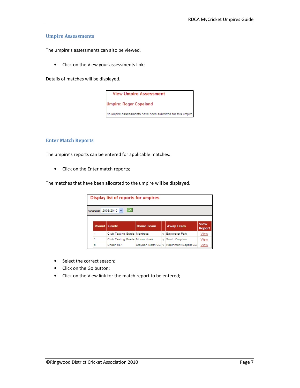#### Umpire Assessments

The umpire's assessments can also be viewed.

• Click on the View your assessments link;

Details of matches will be displayed.

**View Umpire Assessment** 

**Umpire: Roger Copeland** 

No umpire assessments have been submitted for this umpire

#### Enter Match Reports

The umpire's reports can be entered for applicable matches.

• Click on the Enter match reports;

The matches that have been allocated to the umpire will be displayed.

|                    | Display list of reports for umpires |                  |  |                                             |                       |
|--------------------|-------------------------------------|------------------|--|---------------------------------------------|-----------------------|
| Season 2009/2010 v | Go                                  |                  |  |                                             |                       |
|                    |                                     |                  |  |                                             |                       |
| Round              | Grade                               | <b>Home Team</b> |  | <b>Away Team</b>                            | <b>View</b><br>Report |
|                    | Club Testing Grade Montrose         |                  |  | v Bayswater Park                            | View                  |
|                    | Club Testing Grade Mooroolbark      |                  |  | v South Croydon                             | View                  |
| 8                  | Under 18-1                          |                  |  | Croydon North CC   y   Heathmont Baptist CC | <b>View</b>           |

- Select the correct season;
- Click on the Go button;
- Click on the View link for the match report to be entered;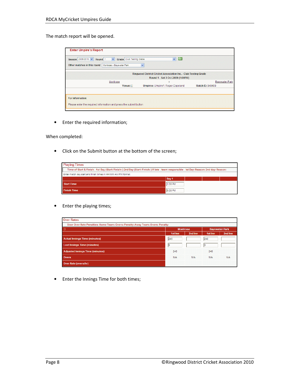The match report will be opened.

| Season 2009/2010 v<br>Round <sup>1</sup><br>Other matches in this round   Montrose v Bayswater Park | Grade Club Testing Grade<br>$\checkmark$ | Go<br>$\checkmark$<br>$\checkmark$                                                                   |                                           |
|-----------------------------------------------------------------------------------------------------|------------------------------------------|------------------------------------------------------------------------------------------------------|-------------------------------------------|
|                                                                                                     |                                          | Ringwood District Cricket Association Inc. - Club Testing Grade<br>Round 1 - Sat 3 Oct 2009 (1:00PM) |                                           |
|                                                                                                     | Montrose<br>Venue: []                    | v<br>Umpires: Umpire1: Roger Copeland                                                                | <b>Bayswater Park</b><br>Match ID: 848408 |
| For Information:                                                                                    |                                          | Please enter the required information and press the submit button                                    |                                           |

• Enter the required information;

When completed:

• Click on the Submit button at the bottom of the screen;

| <b>Playing Times</b>                                                                                                                        |         |  |  |  |
|---------------------------------------------------------------------------------------------------------------------------------------------|---------|--|--|--|
| Time of Start & Finish - 1st Day (Start: Finish: ) 2nd Day (Start: Finish: ) If late - team responsible - Ist Day: Reason: 2nd day: Reason: |         |  |  |  |
| Enter match day start and finish times in HH:MM AM/PM format.                                                                               |         |  |  |  |
|                                                                                                                                             | Day 1   |  |  |  |
| <b>Start Time</b>                                                                                                                           | 1:00 PM |  |  |  |
| <b>Finish Time</b>                                                                                                                          | 6:00 PM |  |  |  |

• Enter the playing times;

| <b>Over Rates</b>                                                               |            |                 |            |                       |
|---------------------------------------------------------------------------------|------------|-----------------|------------|-----------------------|
| Slow Over Rate Penalties: Home Team: Overs: Penalty: Away Team: Overs: Penalty: |            |                 |            |                       |
| о                                                                               |            | <b>Montrose</b> |            | <b>Bayswater Park</b> |
|                                                                                 | 1st Inn    | 2nd Inn         | 1st Inn    | 2nd Inn               |
| <b>Actual Innings Time (minutes)</b>                                            | 245        |                 | 240        |                       |
| <b>Lost Innings Time (minutes)</b>                                              | 15         |                 | lo         |                       |
| <b>Adjusted Innings Time (minutes)</b>                                          | 240        |                 | 240        |                       |
| Overs                                                                           | <b>N/A</b> | <b>N/A</b>      | <b>N/A</b> | <b>N/A</b>            |
| <b>Over Rate (overs/hr)</b>                                                     |            |                 |            |                       |

• Enter the Innings Time for both times;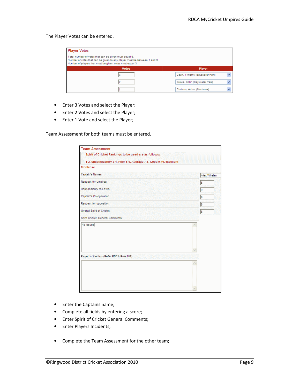#### The Player Votes can be entered.

| <b>Player Votes</b>                                                                                                                                                                           |                                 |
|-----------------------------------------------------------------------------------------------------------------------------------------------------------------------------------------------|---------------------------------|
| Total number of votes that can be given must equal 6.<br>Number of votes that can be given to any player must be between 1 and 3.<br>Number of players that must be given votes must equal 3. |                                 |
| <b>Votes</b>                                                                                                                                                                                  | <b>Player</b>                   |
|                                                                                                                                                                                               | Court, TImothy (Bayswater Park) |
|                                                                                                                                                                                               | Crowe, Colin (Bayswater Park)   |
|                                                                                                                                                                                               | Christou, Arthur (Montrose)     |

- Enter 3 Votes and select the Player;
- Enter 2 Votes and select the Player;
- Enter 1 Vote and select the Player;

Team Assessment for both teams must be entered.

| Spirit of Cricket Rankings to be used are as follows:<br>1-2. Unsatisfactory 3-4. Poor 5-6. Average 7-8. Good 9-10. Excellent |  |             |  |  |  |  |
|-------------------------------------------------------------------------------------------------------------------------------|--|-------------|--|--|--|--|
| Montrose                                                                                                                      |  |             |  |  |  |  |
| Captain's Names                                                                                                               |  | Alex Whelan |  |  |  |  |
| <b>Respect for Umpires</b>                                                                                                    |  | 18          |  |  |  |  |
| Responsibility re Laws                                                                                                        |  | l9          |  |  |  |  |
| Captain's Co-operation                                                                                                        |  | 9           |  |  |  |  |
| Respect for opposition                                                                                                        |  | 18          |  |  |  |  |
| <b>Overall Spirit of Cricket</b>                                                                                              |  | 18          |  |  |  |  |
| Spirit Cricket: General Comments                                                                                              |  |             |  |  |  |  |
| No Issues                                                                                                                     |  |             |  |  |  |  |
|                                                                                                                               |  |             |  |  |  |  |
| Player Incidents - (Refer RDCA Rule 107)                                                                                      |  |             |  |  |  |  |
|                                                                                                                               |  |             |  |  |  |  |
|                                                                                                                               |  |             |  |  |  |  |

- Enter the Captains name;
- Complete all fields by entering a score;
- Enter Spirit of Cricket General Comments;
- Enter Players Incidents;
- Complete the Team Assessment for the other team;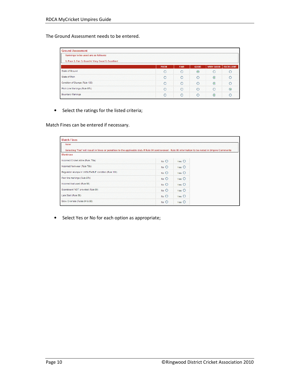The Ground Assessment needs to be entered.

| <b>Ground Assessment</b><br>Rankings to be used are as follows:<br>1. Poor 2. Fair 3. Good 4. Very Good 5. Excellent |            |         |            |         |            |                 |             |             |             |                  |                  |
|----------------------------------------------------------------------------------------------------------------------|------------|---------|------------|---------|------------|-----------------|-------------|-------------|-------------|------------------|------------------|
|                                                                                                                      |            |         |            |         |            |                 | <b>POOR</b> | <b>FAIR</b> | <b>GOOD</b> | <b>VERY GOOD</b> | <b>EXCELLENT</b> |
|                                                                                                                      |            |         |            |         |            | State of Ground | €           | C           | $\odot$     | $\circ$          |                  |
| State of Pitch                                                                                                       | $\bigcirc$ | $\circ$ | $\circ$    | $\odot$ | $\epsilon$ |                 |             |             |             |                  |                  |
| Condition of Stumps (Rule 100)                                                                                       | $\subset$  | $\circ$ | $\circ$    | $\odot$ | C          |                 |             |             |             |                  |                  |
| Pitch Line Markings (Rule 97b)                                                                                       | $\cap$     | €       | $\circ$    | $\circ$ | $\odot$    |                 |             |             |             |                  |                  |
| <b>Boundary Markings</b>                                                                                             | $\subset$  | C       | $\bigcirc$ | $\odot$ |            |                 |             |             |             |                  |                  |

• Select the ratings for the listed criteria;

Match Fines can be entered if necessary.

| <b>Match Fines</b>                                                                                                                                    |          |                  |  |
|-------------------------------------------------------------------------------------------------------------------------------------------------------|----------|------------------|--|
| Note:                                                                                                                                                 |          |                  |  |
| Selecting 'Yes' will result in fines or penalties to the applicable club. If Rule 84 contravened - Rule 86 information to be noted in Umpire Comments |          |                  |  |
| Montrose                                                                                                                                              |          |                  |  |
| Incorrect Cricket Attire (Rule: 78a)                                                                                                                  | No O     | $Yes$ $O$        |  |
| Incorrect footwear (Rule 78b)                                                                                                                         | $No$ $O$ | $Yes$ $O$        |  |
| Requlation stumps in 'UNSUITABLE' condition (Rule 100)                                                                                                | $No$ $O$ | $Yes$ $\bigcirc$ |  |
| Poor line markings (Rule 97b)                                                                                                                         | No O     | $Yes$ $O$        |  |
| Incorrect ball used (Rule 98)                                                                                                                         | No O     | $Yes$ $O$        |  |
| Scoreboard 'NOT' provided (Rule 99)                                                                                                                   | No O     | $Yes$ $O$        |  |
| Late Start (Rule 89)                                                                                                                                  | No O     | $Yes$ $O$        |  |
| Slow Overrate (Rules 84 & 86)                                                                                                                         | No O     | $Yes$ $O$        |  |
|                                                                                                                                                       |          |                  |  |

• Select Yes or No for each option as appropriate;